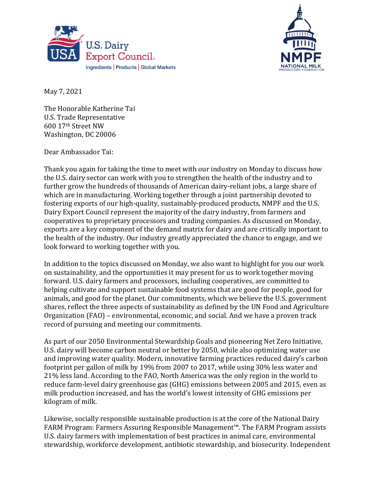



May 7, 2021

The Honorable Katherine Tai U.S. Trade Representative 600 17th Street NW Washington, DC 20006

Dear Ambassador Tai:

Thank you again for taking the time to meet with our industry on Monday to discuss how the U.S. dairy sector can work with you to strengthen the health of the industry and to further grow the hundreds of thousands of American dairy-reliant jobs, a large share of which are in manufacturing. Working together through a joint partnership devoted to fostering exports of our high-quality, sustainably-produced products, NMPF and the U.S. Dairy Export Council represent the majority of the dairy industry, from farmers and cooperatives to proprietary processors and trading companies. As discussed on Monday, exports are a key component of the demand matrix for dairy and are critically important to the health of the industry. Our industry greatly appreciated the chance to engage, and we look forward to working together with you.

In addition to the topics discussed on Monday, we also want to highlight for you our work on sustainability, and the opportunities it may present for us to work together moving forward. U.S. dairy farmers and processors, including cooperatives, are committed to helping cultivate and support sustainable food systems that are good for people, good for animals, and good for the planet. Our commitments, which we believe the U.S. government shares, reflect the three aspects of sustainability as defined by the UN Food and Agriculture Organization (FAO) – environmental, economic, and social. And we have a proven track record of pursuing and meeting our commitments.

As part of our 2050 Environmental Stewardship Goals and pioneering Net Zero Initiative, U.S. dairy will become carbon neutral or better by 2050, while also optimizing water use and improving water quality. Modern, innovative farming practices reduced dairy's carbon footprint per gallon of milk by 19% from 2007 to 2017, while using 30% less water and 21% less land. According to the FAO, North America was the only region in the world to reduce farm-level dairy greenhouse gas (GHG) emissions between 2005 and 2015, even as milk production increased, and has the world's lowest intensity of GHG emissions per kilogram of milk.

Likewise, socially responsible sustainable production is at the core of the National Dairy FARM Program: Farmers Assuring Responsible Management™. The FARM Program assists U.S. dairy farmers with implementation of best practices in animal care, environmental stewardship, workforce development, antibiotic stewardship, and biosecurity. Independent